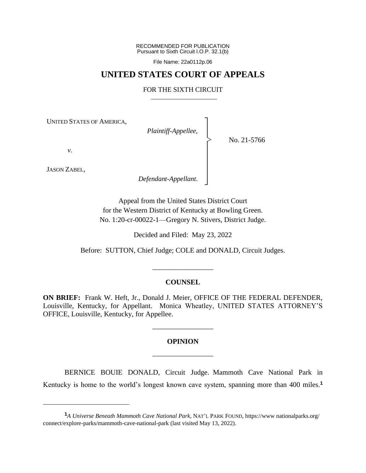RECOMMENDED FOR PUBLICATION Pursuant to Sixth Circuit I.O.P. 32.1(b)

File Name: 22a0112p.06

# **UNITED STATES COURT OF APPEALS**

#### FOR THE SIXTH CIRCUIT

┐ │ │ │ │ │ │ │ ┘

|<br>|<br>|

UNITED STATES OF AMERICA,

*Plaintiff-Appellee*,

No. 21-5766

*v*.

JASON ZABEL,

*Defendant-Appellant*.

Appeal from the United States District Court for the Western District of Kentucky at Bowling Green. No. 1:20-cr-00022-1—Gregory N. Stivers, District Judge.

Decided and Filed: May 23, 2022

Before: SUTTON, Chief Judge; COLE and DONALD, Circuit Judges.

## **COUNSEL**

\_\_\_\_\_\_\_\_\_\_\_\_\_\_\_\_\_

**ON BRIEF:** Frank W. Heft, Jr., Donald J. Meier, OFFICE OF THE FEDERAL DEFENDER, Louisville, Kentucky, for Appellant. Monica Wheatley, UNITED STATES ATTORNEY'S OFFICE, Louisville, Kentucky, for Appellee.

# **OPINION** \_\_\_\_\_\_\_\_\_\_\_\_\_\_\_\_\_

\_\_\_\_\_\_\_\_\_\_\_\_\_\_\_\_\_

BERNICE BOUIE DONALD, Circuit Judge. Mammoth Cave National Park in Kentucky is home to the world's longest known cave system, spanning more than 400 miles.**<sup>1</sup>**

**<sup>1</sup>***A Universe Beneath Mammoth Cave National Park*, NAT'<sup>L</sup> PARK FOUND, https://www nationalparks.org/ connect/explore-parks/mammoth-cave-national-park (last visited May 13, 2022).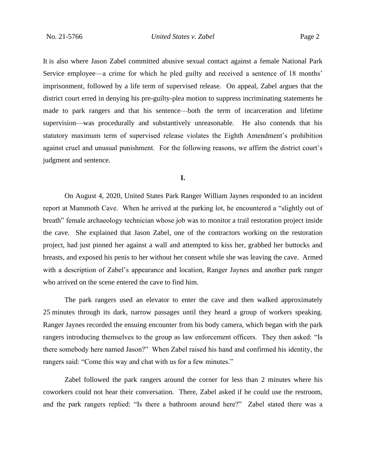It is also where Jason Zabel committed abusive sexual contact against a female National Park Service employee—a crime for which he pled guilty and received a sentence of 18 months' imprisonment, followed by a life term of supervised release. On appeal, Zabel argues that the district court erred in denying his pre-guilty-plea motion to suppress incriminating statements he made to park rangers and that his sentence—both the term of incarceration and lifetime supervision—was procedurally and substantively unreasonable. He also contends that his statutory maximum term of supervised release violates the Eighth Amendment's prohibition against cruel and unusual punishment. For the following reasons, we affirm the district court's judgment and sentence.

# **I.**

On August 4, 2020, United States Park Ranger William Jaynes responded to an incident report at Mammoth Cave. When he arrived at the parking lot, he encountered a "slightly out of breath" female archaeology technician whose job was to monitor a trail restoration project inside the cave. She explained that Jason Zabel, one of the contractors working on the restoration project, had just pinned her against a wall and attempted to kiss her, grabbed her buttocks and breasts, and exposed his penis to her without her consent while she was leaving the cave. Armed with a description of Zabel's appearance and location, Ranger Jaynes and another park ranger who arrived on the scene entered the cave to find him.

The park rangers used an elevator to enter the cave and then walked approximately 25 minutes through its dark, narrow passages until they heard a group of workers speaking. Ranger Jaynes recorded the ensuing encounter from his body camera, which began with the park rangers introducing themselves to the group as law enforcement officers. They then asked: "Is there somebody here named Jason?" When Zabel raised his hand and confirmed his identity, the rangers said: "Come this way and chat with us for a few minutes."

Zabel followed the park rangers around the corner for less than 2 minutes where his coworkers could not hear their conversation. There, Zabel asked if he could use the restroom, and the park rangers replied: "Is there a bathroom around here?" Zabel stated there was a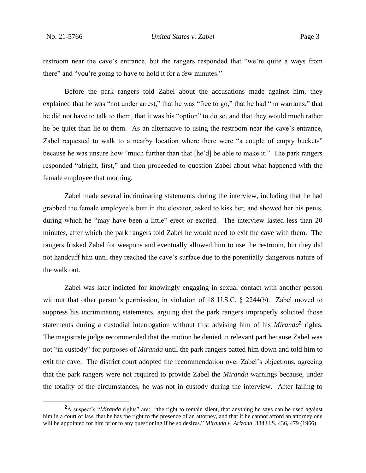restroom near the cave's entrance, but the rangers responded that "we're quite a ways from there" and "you're going to have to hold it for a few minutes."

Before the park rangers told Zabel about the accusations made against him, they explained that he was "not under arrest," that he was "free to go," that he had "no warrants," that he did not have to talk to them, that it was his "option" to do so, and that they would much rather he be quiet than lie to them. As an alternative to using the restroom near the cave's entrance, Zabel requested to walk to a nearby location where there were "a couple of empty buckets" because he was unsure how "much further than that [he'd] be able to make it." The park rangers responded "alright, first," and then proceeded to question Zabel about what happened with the female employee that morning.

Zabel made several incriminating statements during the interview, including that he had grabbed the female employee's butt in the elevator, asked to kiss her, and showed her his penis, during which he "may have been a little" erect or excited. The interview lasted less than 20 minutes, after which the park rangers told Zabel he would need to exit the cave with them. The rangers frisked Zabel for weapons and eventually allowed him to use the restroom, but they did not handcuff him until they reached the cave's surface due to the potentially dangerous nature of the walk out.

Zabel was later indicted for knowingly engaging in sexual contact with another person without that other person's permission, in violation of 18 U.S.C. § 2244(b). Zabel moved to suppress his incriminating statements, arguing that the park rangers improperly solicited those statements during a custodial interrogation without first advising him of his *Miranda*<sup>2</sup> rights. The magistrate judge recommended that the motion be denied in relevant part because Zabel was not "in custody" for purposes of *Miranda* until the park rangers patted him down and told him to exit the cave. The district court adopted the recommendation over Zabel's objections, agreeing that the park rangers were not required to provide Zabel the *Miranda* warnings because, under the totality of the circumstances, he was not in custody during the interview. After failing to

**<sup>2</sup>**A suspect's "*Miranda* rights" are: "the right to remain silent, that anything he says can be used against him in a court of law, that he has the right to the presence of an attorney, and that if he cannot afford an attorney one will be appointed for him prior to any questioning if he so desires." *Miranda v. Arizona*, 384 U.S. 436, 479 (1966).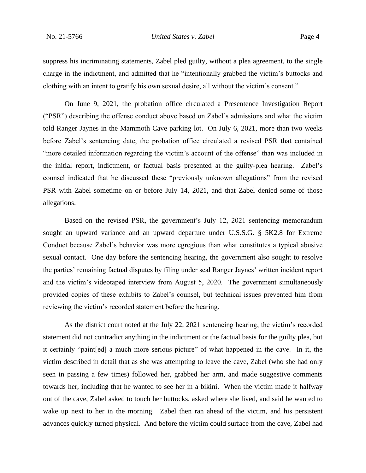suppress his incriminating statements, Zabel pled guilty, without a plea agreement, to the single charge in the indictment, and admitted that he "intentionally grabbed the victim's buttocks and clothing with an intent to gratify his own sexual desire, all without the victim's consent."

On June 9, 2021, the probation office circulated a Presentence Investigation Report ("PSR") describing the offense conduct above based on Zabel's admissions and what the victim told Ranger Jaynes in the Mammoth Cave parking lot. On July 6, 2021, more than two weeks before Zabel's sentencing date, the probation office circulated a revised PSR that contained "more detailed information regarding the victim's account of the offense" than was included in the initial report, indictment, or factual basis presented at the guilty-plea hearing. Zabel's counsel indicated that he discussed these "previously unknown allegations" from the revised PSR with Zabel sometime on or before July 14, 2021, and that Zabel denied some of those allegations.

Based on the revised PSR, the government's July 12, 2021 sentencing memorandum sought an upward variance and an upward departure under U.S.S.G. § 5K2.8 for Extreme Conduct because Zabel's behavior was more egregious than what constitutes a typical abusive sexual contact. One day before the sentencing hearing, the government also sought to resolve the parties' remaining factual disputes by filing under seal Ranger Jaynes' written incident report and the victim's videotaped interview from August 5, 2020. The government simultaneously provided copies of these exhibits to Zabel's counsel, but technical issues prevented him from reviewing the victim's recorded statement before the hearing.

As the district court noted at the July 22, 2021 sentencing hearing, the victim's recorded statement did not contradict anything in the indictment or the factual basis for the guilty plea, but it certainly "paint[ed] a much more serious picture" of what happened in the cave. In it, the victim described in detail that as she was attempting to leave the cave, Zabel (who she had only seen in passing a few times) followed her, grabbed her arm, and made suggestive comments towards her, including that he wanted to see her in a bikini. When the victim made it halfway out of the cave, Zabel asked to touch her buttocks, asked where she lived, and said he wanted to wake up next to her in the morning.Zabel then ran ahead of the victim, and his persistent advances quickly turned physical. And before the victim could surface from the cave, Zabel had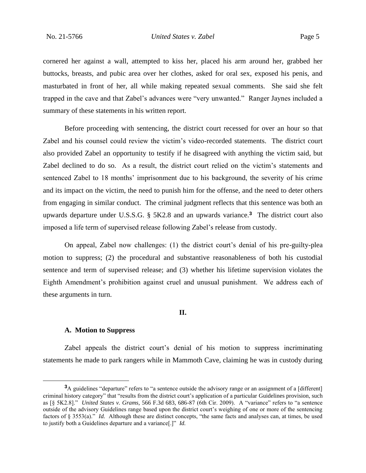cornered her against a wall, attempted to kiss her, placed his arm around her, grabbed her buttocks, breasts, and pubic area over her clothes, asked for oral sex, exposed his penis, and masturbated in front of her, all while making repeated sexual comments. She said she felt trapped in the cave and that Zabel's advances were "very unwanted." Ranger Jaynes included a summary of these statements in his written report.

Before proceeding with sentencing, the district court recessed for over an hour so that Zabel and his counsel could review the victim's video-recorded statements. The district court also provided Zabel an opportunity to testify if he disagreed with anything the victim said, but Zabel declined to do so. As a result, the district court relied on the victim's statements and sentenced Zabel to 18 months' imprisonment due to his background, the severity of his crime and its impact on the victim, the need to punish him for the offense, and the need to deter others from engaging in similar conduct. The criminal judgment reflects that this sentence was both an upwards departure under U.S.S.G. § 5K2.8 and an upwards variance.**<sup>3</sup>** The district court also imposed a life term of supervised release following Zabel's release from custody.

On appeal, Zabel now challenges: (1) the district court's denial of his pre-guilty-plea motion to suppress; (2) the procedural and substantive reasonableness of both his custodial sentence and term of supervised release; and (3) whether his lifetime supervision violates the Eighth Amendment's prohibition against cruel and unusual punishment. We address each of these arguments in turn.

## **II.**

# **A. Motion to Suppress**

Zabel appeals the district court's denial of his motion to suppress incriminating statements he made to park rangers while in Mammoth Cave, claiming he was in custody during

**<sup>3</sup>**A guidelines "departure" refers to "a sentence outside the advisory range or an assignment of a [different] criminal history category" that "results from the district court's application of a particular Guidelines provision, such as [§ 5K2.8]." *United States v. Grams*, 566 F.3d 683, 686-87 (6th Cir. 2009). A "variance" refers to "a sentence outside of the advisory Guidelines range based upon the district court's weighing of one or more of the sentencing factors of § 3553(a)." *Id.* Although these are distinct concepts, "the same facts and analyses can, at times, be used to justify both a Guidelines departure and a variance[.]" *Id.*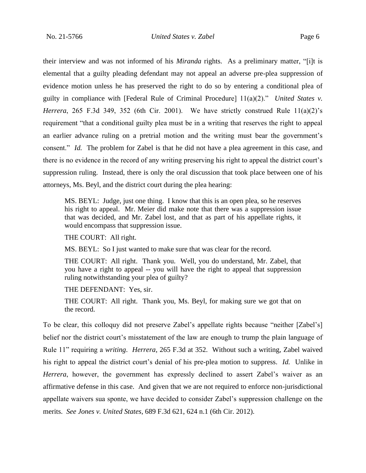their interview and was not informed of his *Miranda* rights. As a preliminary matter, "[i]t is elemental that a guilty pleading defendant may not appeal an adverse pre-plea suppression of evidence motion unless he has preserved the right to do so by entering a conditional plea of guilty in compliance with [Federal Rule of Criminal Procedure] 11(a)(2)." *United States v. Herrera*, 265 F.3d 349, 352 (6th Cir. 2001). We have strictly construed Rule 11(a)(2)'s requirement "that a conditional guilty plea must be in a writing that reserves the right to appeal an earlier advance ruling on a pretrial motion and the writing must bear the government's consent." *Id.* The problem for Zabel is that he did not have a plea agreement in this case, and there is no evidence in the record of any writing preserving his right to appeal the district court's suppression ruling. Instead, there is only the oral discussion that took place between one of his attorneys, Ms. Beyl, and the district court during the plea hearing:

MS. BEYL: Judge, just one thing. I know that this is an open plea, so he reserves his right to appeal. Mr. Meier did make note that there was a suppression issue that was decided, and Mr. Zabel lost, and that as part of his appellate rights, it would encompass that suppression issue.

THE COURT: All right.

MS. BEYL: So I just wanted to make sure that was clear for the record.

THE COURT: All right. Thank you. Well, you do understand, Mr. Zabel, that you have a right to appeal -- you will have the right to appeal that suppression ruling notwithstanding your plea of guilty?

THE DEFENDANT: Yes, sir.

THE COURT: All right. Thank you, Ms. Beyl, for making sure we got that on the record.

To be clear, this colloquy did not preserve Zabel's appellate rights because "neither [Zabel's] belief nor the district court's misstatement of the law are enough to trump the plain language of Rule 11" requiring a *writing*. *Herrera*, 265 F.3d at 352. Without such a writing, Zabel waived his right to appeal the district court's denial of his pre-plea motion to suppress. *Id.* Unlike in *Herrera*, however, the government has expressly declined to assert Zabel's waiver as an affirmative defense in this case. And given that we are not required to enforce non-jurisdictional appellate waivers sua sponte, we have decided to consider Zabel's suppression challenge on the merits. *See Jones v. United States*, 689 F.3d 621, 624 n.1 (6th Cir. 2012).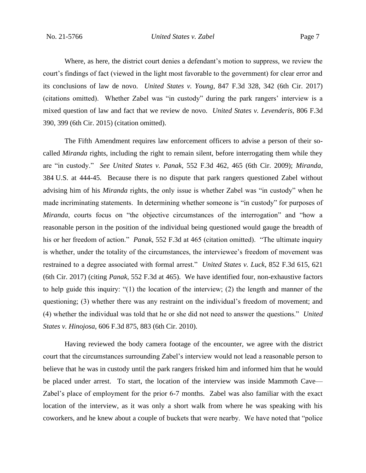Where, as here, the district court denies a defendant's motion to suppress, we review the court's findings of fact (viewed in the light most favorable to the government) for clear error and its conclusions of law de novo. *United States v. Young*, 847 F.3d 328, 342 (6th Cir. 2017) (citations omitted). Whether Zabel was "in custody" during the park rangers' interview is a mixed question of law and fact that we review de novo. *United States v. Levenderis*, 806 F.3d 390, 399 (6th Cir. 2015) (citation omitted).

The Fifth Amendment requires law enforcement officers to advise a person of their socalled *Miranda* rights, including the right to remain silent, before interrogating them while they are "in custody." *See United States v. Panak*, 552 F.3d 462, 465 (6th Cir. 2009); *Miranda*, 384 U.S. at 444-45. Because there is no dispute that park rangers questioned Zabel without advising him of his *Miranda* rights, the only issue is whether Zabel was "in custody" when he made incriminating statements. In determining whether someone is "in custody" for purposes of *Miranda*, courts focus on "the objective circumstances of the interrogation" and "how a reasonable person in the position of the individual being questioned would gauge the breadth of his or her freedom of action." *Panak*, 552 F.3d at 465 (citation omitted). "The ultimate inquiry is whether, under the totality of the circumstances, the interviewee's freedom of movement was restrained to a degree associated with formal arrest." *United States v. Luck*, 852 F.3d 615, 621 (6th Cir. 2017) (citing *Panak*, 552 F.3d at 465). We have identified four, non-exhaustive factors to help guide this inquiry: "(1) the location of the interview; (2) the length and manner of the questioning; (3) whether there was any restraint on the individual's freedom of movement; and (4) whether the individual was told that he or she did not need to answer the questions." *United States v. Hinojosa*, 606 F.3d 875, 883 (6th Cir. 2010).

Having reviewed the body camera footage of the encounter, we agree with the district court that the circumstances surrounding Zabel's interview would not lead a reasonable person to believe that he was in custody until the park rangers frisked him and informed him that he would be placed under arrest. To start, the location of the interview was inside Mammoth Cave— Zabel's place of employment for the prior 6-7 months. Zabel was also familiar with the exact location of the interview, as it was only a short walk from where he was speaking with his coworkers, and he knew about a couple of buckets that were nearby. We have noted that "police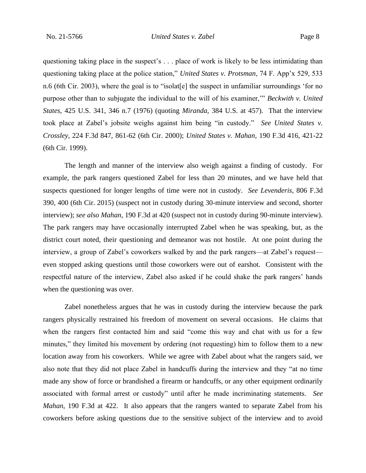questioning taking place in the suspect's . . . place of work is likely to be less intimidating than questioning taking place at the police station," *United States v. Protsman*, 74 F. App'x 529, 533 n.6 (6th Cir. 2003), where the goal is to "isolat[e] the suspect in unfamiliar surroundings 'for no purpose other than to subjugate the individual to the will of his examiner,'" *Beckwith v. United States*, 425 U.S. 341, 346 n.7 (1976) (quoting *Miranda*, 384 U.S. at 457). That the interview took place at Zabel's jobsite weighs against him being "in custody." *See United States v. Crossley*, 224 F.3d 847, 861-62 (6th Cir. 2000); *United States v. Mahan*, 190 F.3d 416, 421-22 (6th Cir. 1999).

The length and manner of the interview also weigh against a finding of custody. For example, the park rangers questioned Zabel for less than 20 minutes, and we have held that suspects questioned for longer lengths of time were not in custody. *See Levenderis*, 806 F.3d 390, 400 (6th Cir. 2015) (suspect not in custody during 30-minute interview and second, shorter interview); *see also Mahan*, 190 F.3d at 420 (suspect not in custody during 90-minute interview). The park rangers may have occasionally interrupted Zabel when he was speaking, but, as the district court noted, their questioning and demeanor was not hostile. At one point during the interview, a group of Zabel's coworkers walked by and the park rangers—at Zabel's request even stopped asking questions until those coworkers were out of earshot. Consistent with the respectful nature of the interview, Zabel also asked if he could shake the park rangers' hands when the questioning was over.

Zabel nonetheless argues that he was in custody during the interview because the park rangers physically restrained his freedom of movement on several occasions. He claims that when the rangers first contacted him and said "come this way and chat with us for a few minutes," they limited his movement by ordering (not requesting) him to follow them to a new location away from his coworkers. While we agree with Zabel about what the rangers said, we also note that they did not place Zabel in handcuffs during the interview and they "at no time made any show of force or brandished a firearm or handcuffs, or any other equipment ordinarily associated with formal arrest or custody" until after he made incriminating statements. *See Mahan*, 190 F.3d at 422. It also appears that the rangers wanted to separate Zabel from his coworkers before asking questions due to the sensitive subject of the interview and to avoid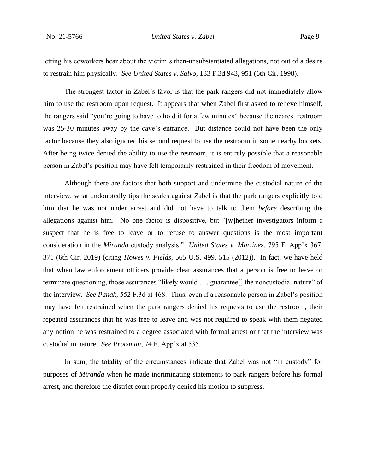letting his coworkers hear about the victim's then-unsubstantiated allegations, not out of a desire to restrain him physically. *See United States v. Salvo*, 133 F.3d 943, 951 (6th Cir. 1998).

The strongest factor in Zabel's favor is that the park rangers did not immediately allow him to use the restroom upon request. It appears that when Zabel first asked to relieve himself, the rangers said "you're going to have to hold it for a few minutes" because the nearest restroom was 25-30 minutes away by the cave's entrance. But distance could not have been the only factor because they also ignored his second request to use the restroom in some nearby buckets. After being twice denied the ability to use the restroom, it is entirely possible that a reasonable person in Zabel's position may have felt temporarily restrained in their freedom of movement.

Although there are factors that both support and undermine the custodial nature of the interview, what undoubtedly tips the scales against Zabel is that the park rangers explicitly told him that he was not under arrest and did not have to talk to them *before* describing the allegations against him. No one factor is dispositive, but "[w]hether investigators inform a suspect that he is free to leave or to refuse to answer questions is the most important consideration in the *Miranda* custody analysis." *United States v. Martinez*, 795 F. App'x 367, 371 (6th Cir. 2019) (citing *Howes v. Fields*, 565 U.S. 499, 515 (2012)). In fact, we have held that when law enforcement officers provide clear assurances that a person is free to leave or terminate questioning, those assurances "likely would . . . guarantee[] the noncustodial nature" of the interview. *See Panak*, 552 F.3d at 468. Thus, even if a reasonable person in Zabel's position may have felt restrained when the park rangers denied his requests to use the restroom, their repeated assurances that he was free to leave and was not required to speak with them negated any notion he was restrained to a degree associated with formal arrest or that the interview was custodial in nature. *See Protsman*, 74 F. App'x at 535.

In sum, the totality of the circumstances indicate that Zabel was not "in custody" for purposes of *Miranda* when he made incriminating statements to park rangers before his formal arrest, and therefore the district court properly denied his motion to suppress.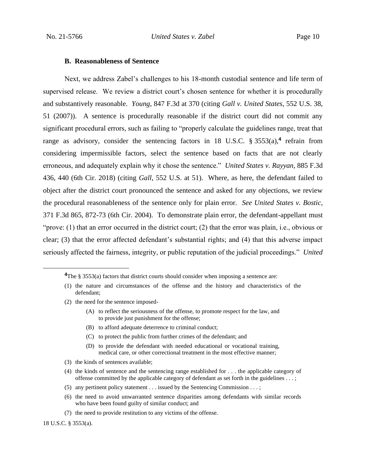#### **B. Reasonableness of Sentence**

Next, we address Zabel's challenges to his 18-month custodial sentence and life term of supervised release. We review a district court's chosen sentence for whether it is procedurally and substantively reasonable. *Young*, 847 F.3d at 370 (citing *Gall v. United States*, 552 U.S. 38, 51 (2007)). A sentence is procedurally reasonable if the district court did not commit any significant procedural errors, such as failing to "properly calculate the guidelines range, treat that range as advisory, consider the sentencing factors in 18 U.S.C. § 3553(a),<sup>4</sup> refrain from considering impermissible factors, select the sentence based on facts that are not clearly erroneous, and adequately explain why it chose the sentence." *United States v. Rayyan*, 885 F.3d 436, 440 (6th Cir. 2018) (citing *Gall*, 552 U.S. at 51). Where, as here, the defendant failed to object after the district court pronounced the sentence and asked for any objections, we review the procedural reasonableness of the sentence only for plain error. *See United States v. Bostic*, 371 F.3d 865, 872-73 (6th Cir. 2004). To demonstrate plain error, the defendant-appellant must "prove: (1) that an error occurred in the district court; (2) that the error was plain, i.e., obvious or clear; (3) that the error affected defendant's substantial rights; and (4) that this adverse impact seriously affected the fairness, integrity, or public reputation of the judicial proceedings." *United* 

- (2) the need for the sentence imposed-
	- (A) to reflect the seriousness of the offense, to promote respect for the law, and to provide just punishment for the offense;
	- (B) to afford adequate deterrence to criminal conduct;
	- (C) to protect the public from further crimes of the defendant; and
	- (D) to provide the defendant with needed educational or vocational training, medical care, or other correctional treatment in the most effective manner;
- (3) the kinds of sentences available;
- (4) the kinds of sentence and the sentencing range established for . . . the applicable category of offense committed by the applicable category of defendant as set forth in the guidelines . . . ;
- (5) any pertinent policy statement . . . issued by the Sentencing Commission . . . ;
- (6) the need to avoid unwarranted sentence disparities among defendants with similar records who have been found guilty of similar conduct; and
- (7) the need to provide restitution to any victims of the offense.

18 U.S.C. § 3553(a).

<sup>&</sup>lt;sup>4</sup>The § 3553(a) factors that district courts should consider when imposing a sentence are:

<sup>(1)</sup> the nature and circumstances of the offense and the history and characteristics of the defendant;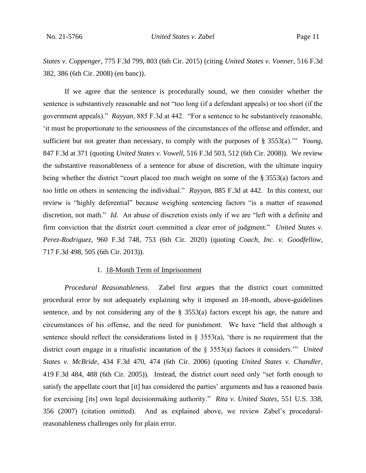*States v. Coppenger*, 775 F.3d 799, 803 (6th Cir. 2015) (citing *United States v. Vonner*, 516 F.3d 382, 386 (6th Cir. 2008) (en banc)).

If we agree that the sentence is procedurally sound, we then consider whether the sentence is substantively reasonable and not "too long (if a defendant appeals) or too short (if the government appeals)." *Rayyan*, 885 F.3d at 442. "For a sentence to be substantively reasonable, 'it must be proportionate to the seriousness of the circumstances of the offense and offender, and sufficient but not greater than necessary, to comply with the purposes of § 3553(a).'" *Young*, 847 F.3d at 371 (quoting *United States v. Vowell*, 516 F.3d 503, 512 (6th Cir. 2008)). We review the substantive reasonableness of a sentence for abuse of discretion, with the ultimate inquiry being whether the district "court placed too much weight on some of the § 3553(a) factors and too little on others in sentencing the individual." *Rayyan*, 885 F.3d at 442. In this context, our review is "highly deferential" because weighing sentencing factors "is a matter of reasoned discretion, not math." *Id.* An abuse of discretion exists only if we are "left with a definite and firm conviction that the district court committed a clear error of judgment." *United States v. Perez-Rodriguez*, 960 F.3d 748, 753 (6th Cir. 2020) (quoting *Coach, Inc. v. Goodfellow*, 717 F.3d 498, 505 (6th Cir. 2013)).

# 1. 18-Month Term of Imprisonment

*Procedural Reasonableness*.Zabel first argues that the district court committed procedural error by not adequately explaining why it imposed an 18-month, above-guidelines sentence, and by not considering any of the § 3553(a) factors except his age, the nature and circumstances of his offense, and the need for punishment. We have "held that although a sentence should reflect the considerations listed in  $\S$  3553(a), 'there is no requirement that the district court engage in a ritualistic incantation of the § 3553(a) factors it considers.'" *United States v. McBride*, 434 F.3d 470, 474 (6th Cir. 2006) (quoting *United States v. Chandler*, 419 F.3d 484, 488 (6th Cir. 2005)). Instead, the district court need only "set forth enough to satisfy the appellate court that [it] has considered the parties' arguments and has a reasoned basis for exercising [its] own legal decisionmaking authority." *Rita v. United States*, 551 U.S. 338, 356 (2007) (citation omitted). And as explained above, we review Zabel's proceduralreasonableness challenges only for plain error.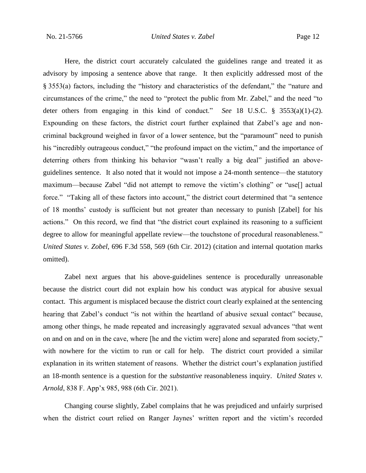Here, the district court accurately calculated the guidelines range and treated it as advisory by imposing a sentence above that range. It then explicitly addressed most of the § 3553(a) factors, including the "history and characteristics of the defendant," the "nature and circumstances of the crime," the need to "protect the public from Mr. Zabel," and the need "to deter others from engaging in this kind of conduct." *See* 18 U.S.C. § 3553(a)(1)-(2). Expounding on these factors, the district court further explained that Zabel's age and noncriminal background weighed in favor of a lower sentence, but the "paramount" need to punish his "incredibly outrageous conduct," "the profound impact on the victim," and the importance of deterring others from thinking his behavior "wasn't really a big deal" justified an aboveguidelines sentence. It also noted that it would not impose a 24-month sentence—the statutory maximum—because Zabel "did not attempt to remove the victim's clothing" or "use[] actual force." "Taking all of these factors into account," the district court determined that "a sentence of 18 months' custody is sufficient but not greater than necessary to punish [Zabel] for his actions." On this record, we find that "the district court explained its reasoning to a sufficient degree to allow for meaningful appellate review—the touchstone of procedural reasonableness." *United States v. Zobel*, 696 F.3d 558, 569 (6th Cir. 2012) (citation and internal quotation marks omitted).

Zabel next argues that his above-guidelines sentence is procedurally unreasonable because the district court did not explain how his conduct was atypical for abusive sexual contact. This argument is misplaced because the district court clearly explained at the sentencing hearing that Zabel's conduct "is not within the heartland of abusive sexual contact" because, among other things, he made repeated and increasingly aggravated sexual advances "that went on and on and on in the cave, where [he and the victim were] alone and separated from society," with nowhere for the victim to run or call for help. The district court provided a similar explanation in its written statement of reasons. Whether the district court's explanation justified an 18-month sentence is a question for the *substantive* reasonableness inquiry. *United States v. Arnold*, 838 F. App'x 985, 988 (6th Cir. 2021).

Changing course slightly, Zabel complains that he was prejudiced and unfairly surprised when the district court relied on Ranger Jaynes' written report and the victim's recorded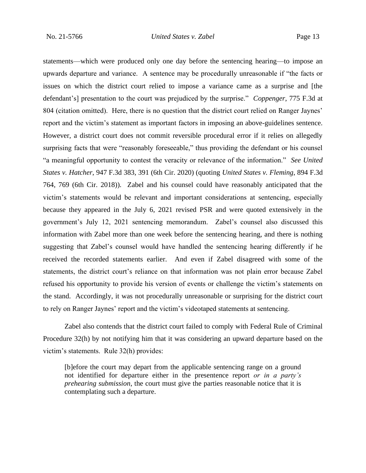statements—which were produced only one day before the sentencing hearing—to impose an upwards departure and variance. A sentence may be procedurally unreasonable if "the facts or issues on which the district court relied to impose a variance came as a surprise and [the defendant's] presentation to the court was prejudiced by the surprise." *Coppenger*, 775 F.3d at 804 (citation omitted). Here, there is no question that the district court relied on Ranger Jaynes' report and the victim's statement as important factors in imposing an above-guidelines sentence. However, a district court does not commit reversible procedural error if it relies on allegedly surprising facts that were "reasonably foreseeable," thus providing the defendant or his counsel "a meaningful opportunity to contest the veracity or relevance of the information." *See United States v. Hatcher*, 947 F.3d 383, 391 (6th Cir. 2020) (quoting *United States v. Fleming*, 894 F.3d 764, 769 (6th Cir. 2018)). Zabel and his counsel could have reasonably anticipated that the victim's statements would be relevant and important considerations at sentencing, especially because they appeared in the July 6, 2021 revised PSR and were quoted extensively in the government's July 12, 2021 sentencing memorandum. Zabel's counsel also discussed this information with Zabel more than one week before the sentencing hearing, and there is nothing suggesting that Zabel's counsel would have handled the sentencing hearing differently if he received the recorded statements earlier. And even if Zabel disagreed with some of the statements, the district court's reliance on that information was not plain error because Zabel refused his opportunity to provide his version of events or challenge the victim's statements on the stand. Accordingly, it was not procedurally unreasonable or surprising for the district court to rely on Ranger Jaynes' report and the victim's videotaped statements at sentencing.

Zabel also contends that the district court failed to comply with Federal Rule of Criminal Procedure 32(h) by not notifying him that it was considering an upward departure based on the victim's statements. Rule 32(h) provides:

[b]efore the court may depart from the applicable sentencing range on a ground not identified for departure either in the presentence report *or in a party's prehearing submission*, the court must give the parties reasonable notice that it is contemplating such a departure.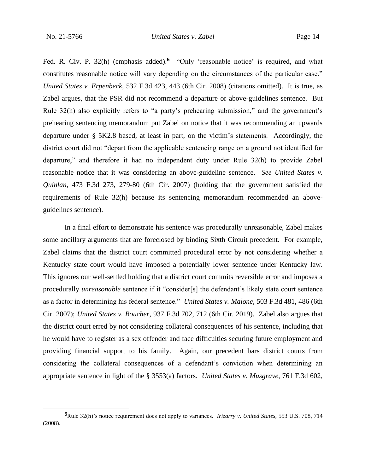Fed. R. Civ. P. 32(h) (emphasis added).<sup>5</sup> "Only 'reasonable notice' is required, and what constitutes reasonable notice will vary depending on the circumstances of the particular case." *United States v. Erpenbeck*, 532 F.3d 423, 443 (6th Cir. 2008) (citations omitted). It is true, as Zabel argues, that the PSR did not recommend a departure or above-guidelines sentence. But Rule 32(h) also explicitly refers to "a party's prehearing submission," and the government's prehearing sentencing memorandum put Zabel on notice that it was recommending an upwards departure under § 5K2.8 based, at least in part, on the victim's statements. Accordingly, the district court did not "depart from the applicable sentencing range on a ground not identified for departure," and therefore it had no independent duty under Rule 32(h) to provide Zabel reasonable notice that it was considering an above-guideline sentence. *See United States v. Quinlan*, 473 F.3d 273, 279-80 (6th Cir. 2007) (holding that the government satisfied the requirements of Rule 32(h) because its sentencing memorandum recommended an aboveguidelines sentence).

In a final effort to demonstrate his sentence was procedurally unreasonable, Zabel makes some ancillary arguments that are foreclosed by binding Sixth Circuit precedent. For example, Zabel claims that the district court committed procedural error by not considering whether a Kentucky state court would have imposed a potentially lower sentence under Kentucky law. This ignores our well-settled holding that a district court commits reversible error and imposes a procedurally *unreasonable* sentence if it "consider[s] the defendant's likely state court sentence as a factor in determining his federal sentence." *United States v. Malone*, 503 F.3d 481, 486 (6th Cir. 2007); *United States v. Boucher*, 937 F.3d 702, 712 (6th Cir. 2019). Zabel also argues that the district court erred by not considering collateral consequences of his sentence, including that he would have to register as a sex offender and face difficulties securing future employment and providing financial support to his family. Again, our precedent bars district courts from considering the collateral consequences of a defendant's conviction when determining an appropriate sentence in light of the § 3553(a) factors. *United States v. Musgrave*, 761 F.3d 602,

**<sup>5</sup>**Rule 32(h)'s notice requirement does not apply to variances. *Irizarry v. United States*, 553 U.S. 708, 714 (2008).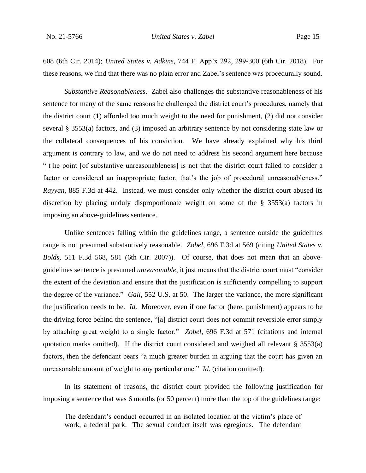608 (6th Cir. 2014); *United States v. Adkins*, 744 F. App'x 292, 299-300 (6th Cir. 2018). For these reasons, we find that there was no plain error and Zabel's sentence was procedurally sound.

*Substantive Reasonableness*. Zabel also challenges the substantive reasonableness of his sentence for many of the same reasons he challenged the district court's procedures, namely that the district court (1) afforded too much weight to the need for punishment, (2) did not consider several § 3553(a) factors, and (3) imposed an arbitrary sentence by not considering state law or the collateral consequences of his conviction. We have already explained why his third argument is contrary to law, and we do not need to address his second argument here because "[t]he point [of substantive unreasonableness] is not that the district court failed to consider a factor or considered an inappropriate factor; that's the job of procedural unreasonableness." *Rayyan*, 885 F.3d at 442. Instead, we must consider only whether the district court abused its discretion by placing unduly disproportionate weight on some of the § 3553(a) factors in imposing an above-guidelines sentence.

Unlike sentences falling within the guidelines range, a sentence outside the guidelines range is not presumed substantively reasonable. *Zobel*, 696 F.3d at 569 (citing *United States v. Bolds*, 511 F.3d 568, 581 (6th Cir. 2007)). Of course, that does not mean that an aboveguidelines sentence is presumed *unreasonable*, it just means that the district court must "consider the extent of the deviation and ensure that the justification is sufficiently compelling to support the degree of the variance." *Gall*, 552 U.S. at 50. The larger the variance, the more significant the justification needs to be. *Id.* Moreover, even if one factor (here, punishment) appears to be the driving force behind the sentence, "[a] district court does not commit reversible error simply by attaching great weight to a single factor." *Zobel*, 696 F.3d at 571 (citations and internal quotation marks omitted). If the district court considered and weighed all relevant  $\S$  3553(a) factors, then the defendant bears "a much greater burden in arguing that the court has given an unreasonable amount of weight to any particular one." *Id.* (citation omitted).

In its statement of reasons, the district court provided the following justification for imposing a sentence that was 6 months (or 50 percent) more than the top of the guidelines range:

The defendant's conduct occurred in an isolated location at the victim's place of work, a federal park. The sexual conduct itself was egregious. The defendant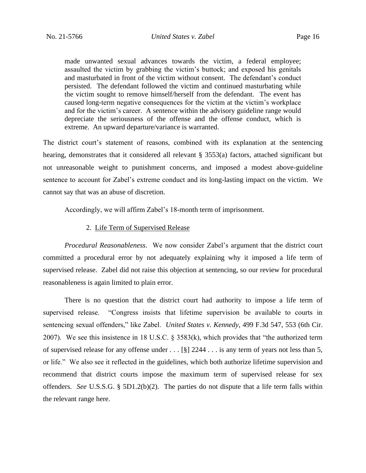made unwanted sexual advances towards the victim, a federal employee; assaulted the victim by grabbing the victim's buttock; and exposed his genitals and masturbated in front of the victim without consent. The defendant's conduct persisted. The defendant followed the victim and continued masturbating while the victim sought to remove himself/herself from the defendant. The event has caused long-term negative consequences for the victim at the victim's workplace and for the victim's career. A sentence within the advisory guideline range would depreciate the seriousness of the offense and the offense conduct, which is extreme. An upward departure/variance is warranted.

The district court's statement of reasons, combined with its explanation at the sentencing hearing, demonstrates that it considered all relevant § 3553(a) factors, attached significant but not unreasonable weight to punishment concerns, and imposed a modest above-guideline sentence to account for Zabel's extreme conduct and its long-lasting impact on the victim. We cannot say that was an abuse of discretion.

Accordingly, we will affirm Zabel's 18-month term of imprisonment.

#### 2. Life Term of Supervised Release

*Procedural Reasonableness*.We now consider Zabel's argument that the district court committed a procedural error by not adequately explaining why it imposed a life term of supervised release. Zabel did not raise this objection at sentencing, so our review for procedural reasonableness is again limited to plain error.

There is no question that the district court had authority to impose a life term of supervised release. "Congress insists that lifetime supervision be available to courts in sentencing sexual offenders," like Zabel. *United States v. Kennedy*, 499 F.3d 547, 553 (6th Cir. 2007). We see this insistence in 18 U.S.C. § 3583(k), which provides that "the authorized term of supervised release for any offense under . . . [§] 2244 . . . is any term of years not less than 5, or life." We also see it reflected in the guidelines, which both authorize lifetime supervision and recommend that district courts impose the maximum term of supervised release for sex offenders. *See* U.S.S.G. § 5D1.2(b)(2). The parties do not dispute that a life term falls within the relevant range here.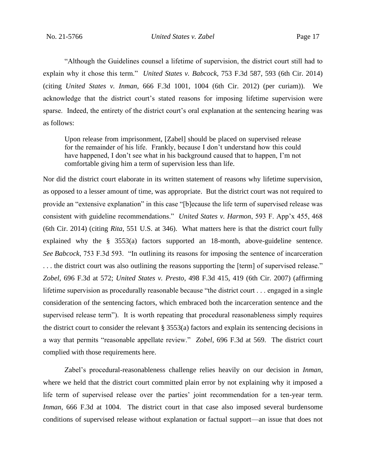"Although the Guidelines counsel a lifetime of supervision, the district court still had to explain why it chose this term." *United States v. Babcock*, 753 F.3d 587, 593 (6th Cir. 2014) (citing *United States v. Inman*, 666 F.3d 1001, 1004 (6th Cir. 2012) (per curiam)). We acknowledge that the district court's stated reasons for imposing lifetime supervision were sparse. Indeed, the entirety of the district court's oral explanation at the sentencing hearing was as follows:

Upon release from imprisonment, [Zabel] should be placed on supervised release for the remainder of his life. Frankly, because I don't understand how this could have happened, I don't see what in his background caused that to happen, I'm not comfortable giving him a term of supervision less than life.

Nor did the district court elaborate in its written statement of reasons why lifetime supervision, as opposed to a lesser amount of time, was appropriate. But the district court was not required to provide an "extensive explanation" in this case "[b]ecause the life term of supervised release was consistent with guideline recommendations." *United States v. Harmon*, 593 F. App'x 455, 468 (6th Cir. 2014) (citing *Rita*, 551 U.S. at 346). What matters here is that the district court fully explained why the § 3553(a) factors supported an 18-month, above-guideline sentence. *See Babcock*, 753 F.3d 593. "In outlining its reasons for imposing the sentence of incarceration . . . the district court was also outlining the reasons supporting the [term] of supervised release." *Zobel*, 696 F.3d at 572; *United States v. Presto*, 498 F.3d 415, 419 (6th Cir. 2007) (affirming lifetime supervision as procedurally reasonable because "the district court . . . engaged in a single consideration of the sentencing factors, which embraced both the incarceration sentence and the supervised release term"). It is worth repeating that procedural reasonableness simply requires the district court to consider the relevant  $\S 3553(a)$  factors and explain its sentencing decisions in a way that permits "reasonable appellate review." *Zobel*, 696 F.3d at 569. The district court complied with those requirements here.

Zabel's procedural-reasonableness challenge relies heavily on our decision in *Inman*, where we held that the district court committed plain error by not explaining why it imposed a life term of supervised release over the parties' joint recommendation for a ten-year term. *Inman*, 666 F.3d at 1004. The district court in that case also imposed several burdensome conditions of supervised release without explanation or factual support—an issue that does not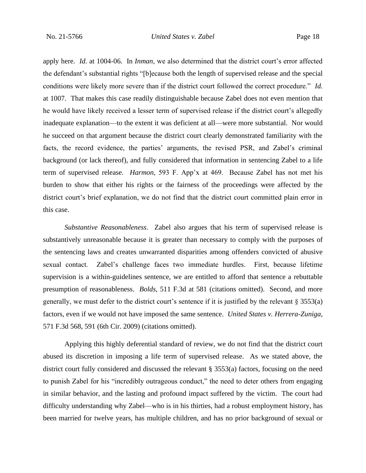apply here. *Id.* at 1004-06. In *Inman*, we also determined that the district court's error affected the defendant's substantial rights "[b]ecause both the length of supervised release and the special conditions were likely more severe than if the district court followed the correct procedure." *Id.* at 1007. That makes this case readily distinguishable because Zabel does not even mention that he would have likely received a lesser term of supervised release if the district court's allegedly inadequate explanation—to the extent it was deficient at all—were more substantial. Nor would he succeed on that argument because the district court clearly demonstrated familiarity with the facts, the record evidence, the parties' arguments, the revised PSR, and Zabel's criminal background (or lack thereof), and fully considered that information in sentencing Zabel to a life term of supervised release. *Harmon*, 593 F. App'x at 469. Because Zabel has not met his burden to show that either his rights or the fairness of the proceedings were affected by the district court's brief explanation, we do not find that the district court committed plain error in this case.

*Substantive Reasonableness*. Zabel also argues that his term of supervised release is substantively unreasonable because it is greater than necessary to comply with the purposes of the sentencing laws and creates unwarranted disparities among offenders convicted of abusive sexual contact. Zabel's challenge faces two immediate hurdles. First, because lifetime supervision is a within-guidelines sentence, we are entitled to afford that sentence a rebuttable presumption of reasonableness. *Bolds*, 511 F.3d at 581 (citations omitted). Second, and more generally, we must defer to the district court's sentence if it is justified by the relevant § 3553(a) factors, even if we would not have imposed the same sentence. *United States v. Herrera-Zuniga*, 571 F.3d 568, 591 (6th Cir. 2009) (citations omitted).

Applying this highly deferential standard of review, we do not find that the district court abused its discretion in imposing a life term of supervised release. As we stated above, the district court fully considered and discussed the relevant § 3553(a) factors, focusing on the need to punish Zabel for his "incredibly outrageous conduct," the need to deter others from engaging in similar behavior, and the lasting and profound impact suffered by the victim. The court had difficulty understanding why Zabel—who is in his thirties, had a robust employment history, has been married for twelve years, has multiple children, and has no prior background of sexual or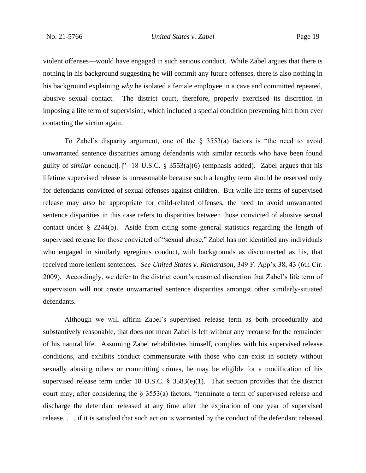violent offenses—would have engaged in such serious conduct. While Zabel argues that there is nothing in his background suggesting he will commit any future offenses, there is also nothing in his background explaining *why* he isolated a female employee in a cave and committed repeated, abusive sexual contact. The district court, therefore, properly exercised its discretion in imposing a life term of supervision, which included a special condition preventing him from ever contacting the victim again.

To Zabel's disparity argument, one of the  $\S$  3553(a) factors is "the need to avoid unwarranted sentence disparities among defendants with similar records who have been found guilty of *similar* conduct[.]" 18 U.S.C. § 3553(a)(6) (emphasis added). Zabel argues that his lifetime supervised release is unreasonable because such a lengthy term should be reserved only for defendants convicted of sexual offenses against children. But while life terms of supervised release may *also* be appropriate for child-related offenses, the need to avoid unwarranted sentence disparities in this case refers to disparities between those convicted of abusive sexual contact under § 2244(b). Aside from citing some general statistics regarding the length of supervised release for those convicted of "sexual abuse," Zabel has not identified any individuals who engaged in similarly egregious conduct, with backgrounds as disconnected as his, that received more lenient sentences. *See United States v. Richardson*, 349 F. App'x 38, 43 (6th Cir. 2009). Accordingly, we defer to the district court's reasoned discretion that Zabel's life term of supervision will not create unwarranted sentence disparities amongst other similarly-situated defendants.

Although we will affirm Zabel's supervised release term as both procedurally and substantively reasonable, that does not mean Zabel is left without any recourse for the remainder of his natural life. Assuming Zabel rehabilitates himself, complies with his supervised release conditions, and exhibits conduct commensurate with those who can exist in society without sexually abusing others or committing crimes, he may be eligible for a modification of his supervised release term under 18 U.S.C. § 3583(e)(1). That section provides that the district court may, after considering the § 3553(a) factors, "terminate a term of supervised release and discharge the defendant released at any time after the expiration of one year of supervised release, . . . if it is satisfied that such action is warranted by the conduct of the defendant released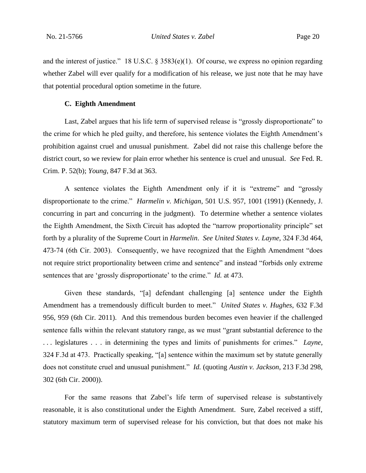and the interest of justice." 18 U.S.C. § 3583(e)(1). Of course, we express no opinion regarding whether Zabel will ever qualify for a modification of his release, we just note that he may have that potential procedural option sometime in the future.

#### **C. Eighth Amendment**

Last, Zabel argues that his life term of supervised release is "grossly disproportionate" to the crime for which he pled guilty, and therefore, his sentence violates the Eighth Amendment's prohibition against cruel and unusual punishment. Zabel did not raise this challenge before the district court, so we review for plain error whether his sentence is cruel and unusual. *See* Fed. R. Crim. P. 52(b); *Young*, 847 F.3d at 363.

A sentence violates the Eighth Amendment only if it is "extreme" and "grossly disproportionate to the crime." *Harmelin v. Michigan*, 501 U.S. 957, 1001 (1991) (Kennedy, J. concurring in part and concurring in the judgment). To determine whether a sentence violates the Eighth Amendment, the Sixth Circuit has adopted the "narrow proportionality principle" set forth by a plurality of the Supreme Court in *Harmelin*. *See United States v. Layne*, 324 F.3d 464, 473-74 (6th Cir. 2003). Consequently, we have recognized that the Eighth Amendment "does not require strict proportionality between crime and sentence" and instead "forbids only extreme sentences that are 'grossly disproportionate' to the crime." *Id.* at 473.

Given these standards, "[a] defendant challenging [a] sentence under the Eighth Amendment has a tremendously difficult burden to meet." *United States v. Hughes*, 632 F.3d 956, 959 (6th Cir. 2011). And this tremendous burden becomes even heavier if the challenged sentence falls within the relevant statutory range, as we must "grant substantial deference to the . . . legislatures . . . in determining the types and limits of punishments for crimes." *Layne*, 324 F.3d at 473. Practically speaking, "[a] sentence within the maximum set by statute generally does not constitute cruel and unusual punishment." *Id.* (quoting *Austin v. Jackson*, 213 F.3d 298, 302 (6th Cir. 2000)).

For the same reasons that Zabel's life term of supervised release is substantively reasonable, it is also constitutional under the Eighth Amendment. Sure, Zabel received a stiff, statutory maximum term of supervised release for his conviction, but that does not make his